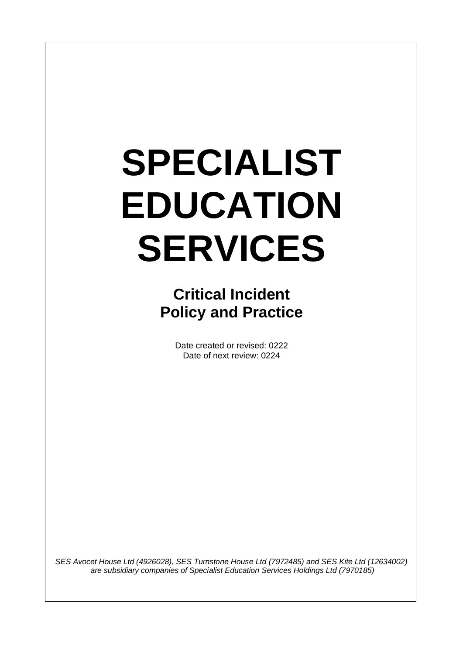# **SPECIALIST EDUCATION SERVICES**

**Critical Incident Policy and Practice**

> Date created or revised: 0222 Date of next review: 0224

*SES Avocet House Ltd (4926028), SES Turnstone House Ltd (7972485) and SES Kite Ltd (12634002) are subsidiary companies of Specialist Education Services Holdings Ltd (7970185)*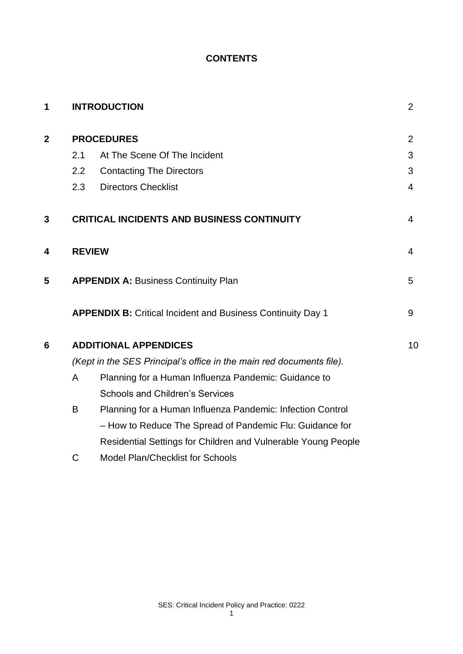## **CONTENTS**

| 1            |                                                                      | <b>INTRODUCTION</b>                                                | $\overline{2}$ |  |  |  |  |
|--------------|----------------------------------------------------------------------|--------------------------------------------------------------------|----------------|--|--|--|--|
| $\mathbf{2}$ | <b>PROCEDURES</b>                                                    |                                                                    |                |  |  |  |  |
|              | 2.1                                                                  | At The Scene Of The Incident                                       | 3              |  |  |  |  |
|              | 2.2                                                                  | <b>Contacting The Directors</b>                                    | 3              |  |  |  |  |
|              | 2.3                                                                  | <b>Directors Checklist</b>                                         | 4              |  |  |  |  |
| 3            |                                                                      | <b>CRITICAL INCIDENTS AND BUSINESS CONTINUITY</b>                  | $\overline{4}$ |  |  |  |  |
| 4            | <b>REVIEW</b>                                                        |                                                                    | $\overline{4}$ |  |  |  |  |
| 5            | <b>APPENDIX A: Business Continuity Plan</b>                          |                                                                    |                |  |  |  |  |
|              |                                                                      | <b>APPENDIX B: Critical Incident and Business Continuity Day 1</b> | 9              |  |  |  |  |
| 6            | <b>ADDITIONAL APPENDICES</b>                                         |                                                                    |                |  |  |  |  |
|              | (Kept in the SES Principal's office in the main red documents file). |                                                                    |                |  |  |  |  |
|              | A                                                                    | Planning for a Human Influenza Pandemic: Guidance to               |                |  |  |  |  |
|              |                                                                      | <b>Schools and Children's Services</b>                             |                |  |  |  |  |
|              | B                                                                    |                                                                    |                |  |  |  |  |
|              |                                                                      | - How to Reduce The Spread of Pandemic Flu: Guidance for           |                |  |  |  |  |
|              |                                                                      | Residential Settings for Children and Vulnerable Young People      |                |  |  |  |  |
|              |                                                                      | $\blacksquare$                                                     |                |  |  |  |  |

C Model Plan/Checklist for Schools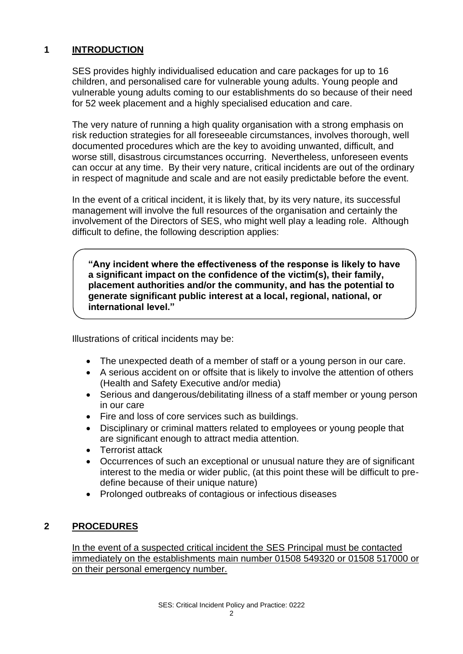## **1 INTRODUCTION**

SES provides highly individualised education and care packages for up to 16 children, and personalised care for vulnerable young adults. Young people and vulnerable young adults coming to our establishments do so because of their need for 52 week placement and a highly specialised education and care.

The very nature of running a high quality organisation with a strong emphasis on risk reduction strategies for all foreseeable circumstances, involves thorough, well documented procedures which are the key to avoiding unwanted, difficult, and worse still, disastrous circumstances occurring. Nevertheless, unforeseen events can occur at any time. By their very nature, critical incidents are out of the ordinary in respect of magnitude and scale and are not easily predictable before the event.

In the event of a critical incident, it is likely that, by its very nature, its successful management will involve the full resources of the organisation and certainly the involvement of the Directors of SES, who might well play a leading role. Although difficult to define, the following description applies:

**"Any incident where the effectiveness of the response is likely to have a significant impact on the confidence of the victim(s), their family, placement authorities and/or the community, and has the potential to generate significant public interest at a local, regional, national, or international level."**

Illustrations of critical incidents may be:

- The unexpected death of a member of staff or a young person in our care.
- A serious accident on or offsite that is likely to involve the attention of others (Health and Safety Executive and/or media)
- Serious and dangerous/debilitating illness of a staff member or young person in our care
- Fire and loss of core services such as buildings.
- Disciplinary or criminal matters related to employees or young people that are significant enough to attract media attention.
- Terrorist attack
- Occurrences of such an exceptional or unusual nature they are of significant interest to the media or wider public, (at this point these will be difficult to predefine because of their unique nature)
- Prolonged outbreaks of contagious or infectious diseases

## **2 PROCEDURES**

In the event of a suspected critical incident the SES Principal must be contacted immediately on the establishments main number 01508 549320 or 01508 517000 or on their personal emergency number.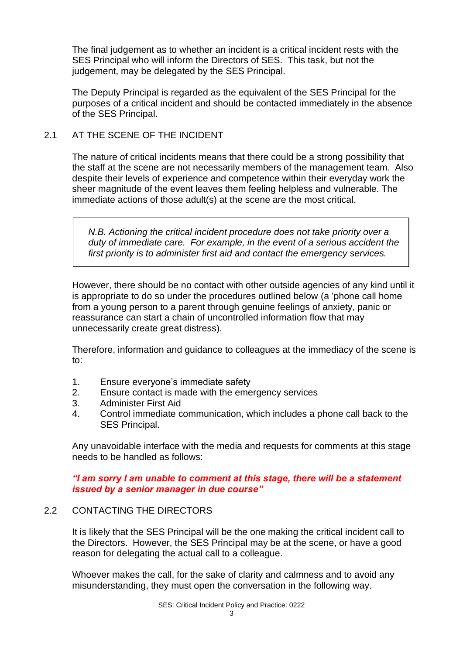The final judgement as to whether an incident is a critical incident rests with the SES Principal who will inform the Directors of SES. This task, but not the judgement, may be delegated by the SES Principal.

The Deputy Principal is regarded as the equivalent of the SES Principal for the purposes of a critical incident and should be contacted immediately in the absence of the SES Principal.

#### 2.1 AT THE SCENE OF THE INCIDENT

The nature of critical incidents means that there could be a strong possibility that the staff at the scene are not necessarily members of the management team. Also despite their levels of experience and competence within their everyday work the sheer magnitude of the event leaves them feeling helpless and vulnerable. The immediate actions of those adult(s) at the scene are the most critical.

*N.B. Actioning the critical incident procedure does not take priority over a duty of immediate care. For example, in the event of a serious accident the first priority is to administer first aid and contact the emergency services.*

However, there should be no contact with other outside agencies of any kind until it is appropriate to do so under the procedures outlined below (a 'phone call home from a young person to a parent through genuine feelings of anxiety, panic or reassurance can start a chain of uncontrolled information flow that may unnecessarily create great distress).

Therefore, information and guidance to colleagues at the immediacy of the scene is to:

- 1. Ensure everyone's immediate safety
- 2. Ensure contact is made with the emergency services
- 3. Administer First Aid
- 4. Control immediate communication, which includes a phone call back to the SES Principal.

Any unavoidable interface with the media and requests for comments at this stage needs to be handled as follows:

#### *"I am sorry I am unable to comment at this stage, there will be a statement issued by a senior manager in due course"*

## 2.2 CONTACTING THE DIRECTORS

It is likely that the SES Principal will be the one making the critical incident call to the Directors. However, the SES Principal may be at the scene, or have a good reason for delegating the actual call to a colleague.

Whoever makes the call, for the sake of clarity and calmness and to avoid any misunderstanding, they must open the conversation in the following way.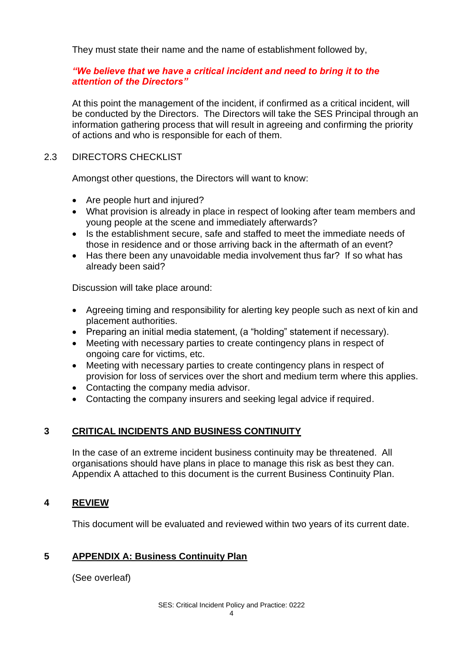They must state their name and the name of establishment followed by,

#### *"We believe that we have a critical incident and need to bring it to the attention of the Directors"*

At this point the management of the incident, if confirmed as a critical incident, will be conducted by the Directors. The Directors will take the SES Principal through an information gathering process that will result in agreeing and confirming the priority of actions and who is responsible for each of them.

#### 2.3 DIRECTORS CHECKLIST

Amongst other questions, the Directors will want to know:

- Are people hurt and injured?
- What provision is already in place in respect of looking after team members and young people at the scene and immediately afterwards?
- Is the establishment secure, safe and staffed to meet the immediate needs of those in residence and or those arriving back in the aftermath of an event?
- Has there been any unavoidable media involvement thus far? If so what has already been said?

Discussion will take place around:

- Agreeing timing and responsibility for alerting key people such as next of kin and placement authorities.
- Preparing an initial media statement, (a "holding" statement if necessary).
- Meeting with necessary parties to create contingency plans in respect of ongoing care for victims, etc.
- Meeting with necessary parties to create contingency plans in respect of provision for loss of services over the short and medium term where this applies.
- Contacting the company media advisor.
- Contacting the company insurers and seeking legal advice if required.

#### **3 CRITICAL INCIDENTS AND BUSINESS CONTINUITY**

In the case of an extreme incident business continuity may be threatened. All organisations should have plans in place to manage this risk as best they can. Appendix A attached to this document is the current Business Continuity Plan.

#### **4 REVIEW**

This document will be evaluated and reviewed within two years of its current date.

## **5 APPENDIX A: Business Continuity Plan**

(See overleaf)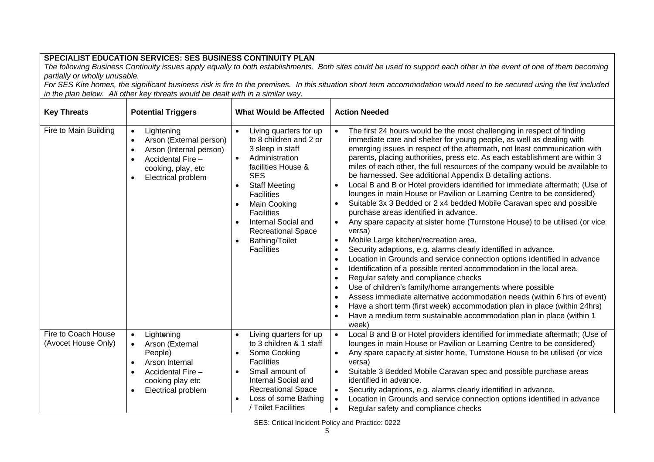#### **SPECIALIST EDUCATION SERVICES: SES BUSINESS CONTINUITY PLAN**

*The following Business Continuity issues apply equally to both establishments. Both sites could be used to support each other in the event of one of them becoming partially or wholly unusable.*

*For SES Kite homes, the significant business risk is fire to the premises. In this situation short term accommodation would need to be secured using the list included in the plan below. All other key threats would be dealt with in a similar way.*

| <b>Key Threats</b><br><b>Potential Triggers</b> |                                                                                                                                                                               | <b>What Would be Affected</b>                                                                                                                                                                                                                                                                                                                               | <b>Action Needed</b>                                                                                                                                                                                                                                                                                                                                                                                                                                                                                                                                                                                                                                                                                                                                                                                                                                                                                                                                                                                                                                                                                                                                                                                                                                                                                                                                                                                                                                                                                                     |  |  |
|-------------------------------------------------|-------------------------------------------------------------------------------------------------------------------------------------------------------------------------------|-------------------------------------------------------------------------------------------------------------------------------------------------------------------------------------------------------------------------------------------------------------------------------------------------------------------------------------------------------------|--------------------------------------------------------------------------------------------------------------------------------------------------------------------------------------------------------------------------------------------------------------------------------------------------------------------------------------------------------------------------------------------------------------------------------------------------------------------------------------------------------------------------------------------------------------------------------------------------------------------------------------------------------------------------------------------------------------------------------------------------------------------------------------------------------------------------------------------------------------------------------------------------------------------------------------------------------------------------------------------------------------------------------------------------------------------------------------------------------------------------------------------------------------------------------------------------------------------------------------------------------------------------------------------------------------------------------------------------------------------------------------------------------------------------------------------------------------------------------------------------------------------------|--|--|
| Fire to Main Building                           | Lightening<br>$\bullet$<br>Arson (External person)<br>$\bullet$<br>Arson (Internal person)<br>$\bullet$<br>Accidental Fire -<br>cooking, play, etc<br>Electrical problem      | Living quarters for up<br>$\bullet$<br>to 8 children and 2 or<br>3 sleep in staff<br>Administration<br>$\bullet$<br>facilities House &<br><b>SES</b><br><b>Staff Meeting</b><br><b>Facilities</b><br>Main Cooking<br>$\bullet$<br><b>Facilities</b><br>Internal Social and<br><b>Recreational Space</b><br>Bathing/Toilet<br>$\bullet$<br><b>Facilities</b> | The first 24 hours would be the most challenging in respect of finding<br>immediate care and shelter for young people, as well as dealing with<br>emerging issues in respect of the aftermath, not least communication with<br>parents, placing authorities, press etc. As each establishment are within 3<br>miles of each other, the full resources of the company would be available to<br>be harnessed. See additional Appendix B detailing actions.<br>Local B and B or Hotel providers identified for immediate aftermath; (Use of<br>lounges in main House or Pavilion or Learning Centre to be considered)<br>Suitable 3x 3 Bedded or 2 x4 bedded Mobile Caravan spec and possible<br>purchase areas identified in advance.<br>Any spare capacity at sister home (Turnstone House) to be utilised (or vice<br>$\bullet$<br>versa)<br>Mobile Large kitchen/recreation area.<br>$\bullet$<br>Security adaptions, e.g. alarms clearly identified in advance.<br>Location in Grounds and service connection options identified in advance<br>$\bullet$<br>Identification of a possible rented accommodation in the local area.<br>Regular safety and compliance checks<br>$\bullet$<br>Use of children's family/home arrangements where possible<br>$\bullet$<br>Assess immediate alternative accommodation needs (within 6 hrs of event)<br>$\bullet$<br>Have a short term (first week) accommodation plan in place (within 24hrs)<br>Have a medium term sustainable accommodation plan in place (within 1<br>week) |  |  |
| Fire to Coach House<br>(Avocet House Only)      | Lightening<br>$\bullet$<br>Arson (External<br>$\bullet$<br>People)<br>Arson Internal<br>$\bullet$<br>Accidental Fire -<br>cooking play etc<br>Electrical problem<br>$\bullet$ | Living quarters for up<br>$\bullet$<br>to 3 children & 1 staff<br>Some Cooking<br><b>Facilities</b><br>Small amount of<br>$\bullet$<br>Internal Social and<br><b>Recreational Space</b><br>Loss of some Bathing<br>/ Toilet Facilities                                                                                                                      | Local B and B or Hotel providers identified for immediate aftermath; (Use of<br>lounges in main House or Pavilion or Learning Centre to be considered)<br>Any spare capacity at sister home, Turnstone House to be utilised (or vice<br>versa)<br>Suitable 3 Bedded Mobile Caravan spec and possible purchase areas<br>$\bullet$<br>identified in advance.<br>Security adaptions, e.g. alarms clearly identified in advance.<br>$\bullet$<br>Location in Grounds and service connection options identified in advance<br>Regular safety and compliance checks<br>$\bullet$                                                                                                                                                                                                                                                                                                                                                                                                                                                                                                                                                                                                                                                                                                                                                                                                                                                                                                                                               |  |  |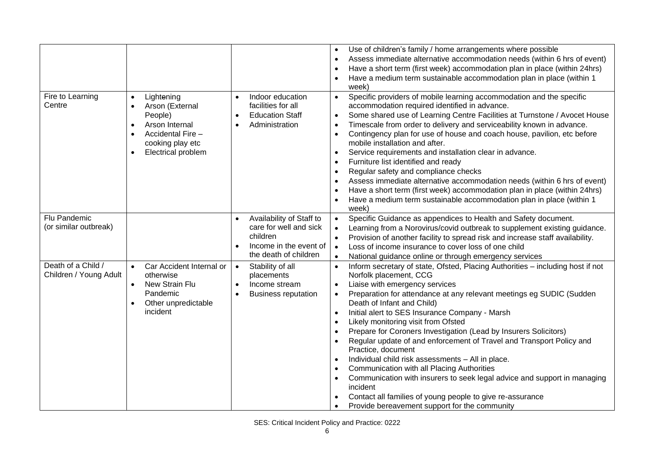|                                              |                                                                                                                                                            |                                                                                                                   | Use of children's family / home arrangements where possible<br>$\bullet$<br>Assess immediate alternative accommodation needs (within 6 hrs of event)<br>$\bullet$<br>Have a short term (first week) accommodation plan in place (within 24hrs)<br>$\bullet$<br>Have a medium term sustainable accommodation plan in place (within 1<br>week)                                                                                                                                                                                                                                                                                                                                                                                                                                                                                                                                                                                                           |
|----------------------------------------------|------------------------------------------------------------------------------------------------------------------------------------------------------------|-------------------------------------------------------------------------------------------------------------------|--------------------------------------------------------------------------------------------------------------------------------------------------------------------------------------------------------------------------------------------------------------------------------------------------------------------------------------------------------------------------------------------------------------------------------------------------------------------------------------------------------------------------------------------------------------------------------------------------------------------------------------------------------------------------------------------------------------------------------------------------------------------------------------------------------------------------------------------------------------------------------------------------------------------------------------------------------|
| Fire to Learning<br>Centre                   | Lightening<br>$\bullet$<br>Arson (External<br>People)<br>Arson Internal<br>$\bullet$<br>Accidental Fire -<br>cooking play etc<br><b>Electrical problem</b> | Indoor education<br>facilities for all<br><b>Education Staff</b><br>$\bullet$<br>Administration                   | Specific providers of mobile learning accommodation and the specific<br>$\bullet$<br>accommodation required identified in advance.<br>Some shared use of Learning Centre Facilities at Turnstone / Avocet House<br>$\bullet$<br>Timescale from order to delivery and serviceability known in advance.<br>$\bullet$<br>Contingency plan for use of house and coach house, pavilion, etc before<br>$\bullet$<br>mobile installation and after.<br>Service requirements and installation clear in advance.<br>$\bullet$<br>Furniture list identified and ready<br>$\bullet$<br>Regular safety and compliance checks<br>$\bullet$<br>Assess immediate alternative accommodation needs (within 6 hrs of event)<br>Have a short term (first week) accommodation plan in place (within 24hrs)<br>$\bullet$<br>Have a medium term sustainable accommodation plan in place (within 1<br>week)                                                                   |
| Flu Pandemic<br>(or similar outbreak)        |                                                                                                                                                            | Availability of Staff to<br>care for well and sick<br>children<br>Income in the event of<br>the death of children | Specific Guidance as appendices to Health and Safety document.<br>$\bullet$<br>Learning from a Norovirus/covid outbreak to supplement existing guidance.<br>$\bullet$<br>Provision of another facility to spread risk and increase staff availability.<br>$\bullet$<br>Loss of income insurance to cover loss of one child<br>$\bullet$<br>National guidance online or through emergency services<br>$\bullet$                                                                                                                                                                                                                                                                                                                                                                                                                                                                                                                                         |
| Death of a Child /<br>Children / Young Adult | Car Accident Internal or<br>$\bullet$<br>otherwise<br>New Strain Flu<br>$\bullet$<br>Pandemic<br>Other unpredictable<br>incident                           | Stability of all<br>$\bullet$<br>placements<br>Income stream<br>$\bullet$<br><b>Business reputation</b>           | Inform secretary of state, Ofsted, Placing Authorities - including host if not<br>$\bullet$<br>Norfolk placement, CCG<br>Liaise with emergency services<br>$\bullet$<br>Preparation for attendance at any relevant meetings eg SUDIC (Sudden<br>$\bullet$<br>Death of Infant and Child)<br>Initial alert to SES Insurance Company - Marsh<br>$\bullet$<br>Likely monitoring visit from Ofsted<br>$\bullet$<br>Prepare for Coroners Investigation (Lead by Insurers Solicitors)<br>Regular update of and enforcement of Travel and Transport Policy and<br>$\bullet$<br>Practice, document<br>Individual child risk assessments - All in place.<br>$\bullet$<br>Communication with all Placing Authorities<br>$\bullet$<br>Communication with insurers to seek legal advice and support in managing<br>$\bullet$<br>incident<br>Contact all families of young people to give re-assurance<br>$\bullet$<br>Provide bereavement support for the community |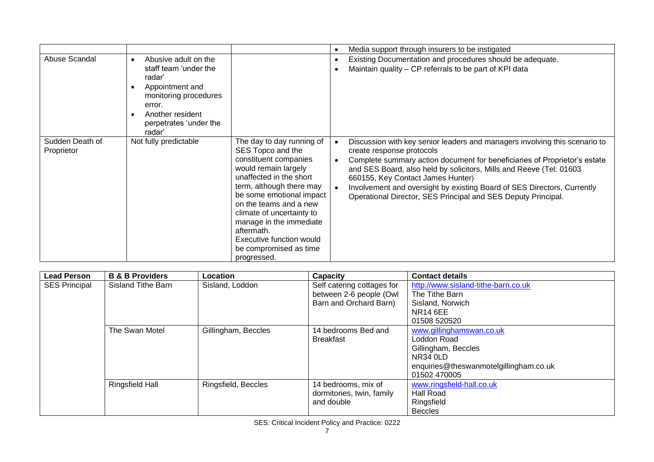|                               |                                                                                                                                                                                    |                                                                                                                                                                                                                                                                                                                                                         | $\bullet$              | Media support through insurers to be instigated                                                                                                                                                                                                                                                                                                                                                                                              |
|-------------------------------|------------------------------------------------------------------------------------------------------------------------------------------------------------------------------------|---------------------------------------------------------------------------------------------------------------------------------------------------------------------------------------------------------------------------------------------------------------------------------------------------------------------------------------------------------|------------------------|----------------------------------------------------------------------------------------------------------------------------------------------------------------------------------------------------------------------------------------------------------------------------------------------------------------------------------------------------------------------------------------------------------------------------------------------|
| Abuse Scandal                 | Abusive adult on the<br>$\bullet$<br>staff team 'under the<br>radar'<br>Appointment and<br>monitoring procedures<br>error.<br>Another resident<br>perpetrates 'under the<br>radar' |                                                                                                                                                                                                                                                                                                                                                         |                        | Existing Documentation and procedures should be adequate.<br>Maintain quality - CP referrals to be part of KPI data                                                                                                                                                                                                                                                                                                                          |
| Sudden Death of<br>Proprietor | Not fully predictable                                                                                                                                                              | The day to day running of<br>SES Topco and the<br>constituent companies<br>would remain largely<br>unaffected in the short<br>term, although there may<br>be some emotional impact<br>on the teams and a new<br>climate of uncertainty to<br>manage in the immediate<br>aftermath.<br>Executive function would<br>be compromised as time<br>progressed. | $\bullet$<br>$\bullet$ | Discussion with key senior leaders and managers involving this scenario to<br>create response protocols<br>Complete summary action document for beneficiaries of Proprietor's estate<br>and SES Board, also held by solicitors, Mills and Reeve (Tel: 01603<br>660155, Key Contact James Hunter)<br>Involvement and oversight by existing Board of SES Directors, Currently<br>Operational Director, SES Principal and SES Deputy Principal. |

| <b>Lead Person</b>   | <b>B &amp; B Providers</b> | Location            | Capacity                   | <b>Contact details</b>                 |
|----------------------|----------------------------|---------------------|----------------------------|----------------------------------------|
| <b>SES Principal</b> | Sisland Tithe Barn         | Sisland, Loddon     | Self catering cottages for | http://www.sisland-tithe-barn.co.uk    |
|                      |                            |                     | between 2-6 people (Owl    | The Tithe Barn                         |
|                      |                            |                     | Barn and Orchard Barn)     | Sisland, Norwich                       |
|                      |                            |                     |                            | <b>NR14 6EE</b>                        |
|                      |                            |                     |                            | 01508 520520                           |
|                      | The Swan Motel             | Gillingham, Beccles | 14 bedrooms Bed and        | www.gillinghamswan.co.uk               |
|                      |                            |                     | <b>Breakfast</b>           | Loddon Road                            |
|                      |                            |                     |                            | Gillingham, Beccles                    |
|                      |                            |                     |                            | <b>NR34 0LD</b>                        |
|                      |                            |                     |                            | enquiries@theswanmotelgillingham.co.uk |
|                      |                            |                     |                            | 01502 470005                           |
|                      | <b>Ringsfield Hall</b>     | Ringsfield, Beccles | 14 bedrooms, mix of        | www.ringsfield-hall.co.uk              |
|                      |                            |                     | dormitories, twin, family  | Hall Road                              |
|                      |                            |                     | and double                 | Ringsfield                             |
|                      |                            |                     |                            | <b>Beccles</b>                         |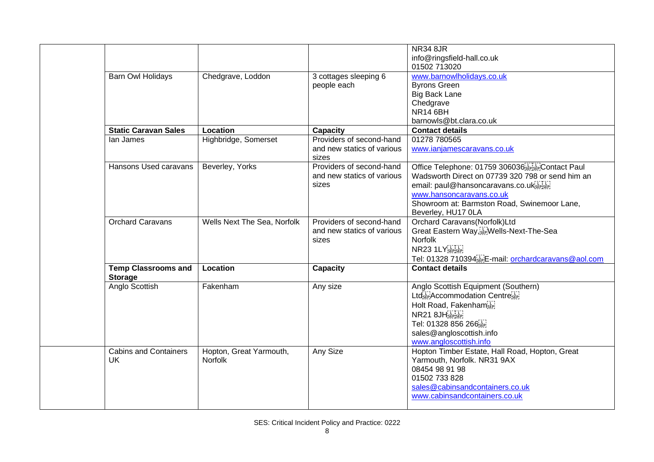|                              |                             |                            | <b>NR34 8JR</b>                                      |
|------------------------------|-----------------------------|----------------------------|------------------------------------------------------|
|                              |                             |                            | info@ringsfield-hall.co.uk                           |
|                              |                             |                            | 01502 713020                                         |
| Barn Owl Holidays            | Chedgrave, Loddon           | 3 cottages sleeping 6      | www.barnowlholidays.co.uk                            |
|                              |                             | people each                | <b>Byrons Green</b>                                  |
|                              |                             |                            | <b>Big Back Lane</b>                                 |
|                              |                             |                            | Chedgrave                                            |
|                              |                             |                            | <b>NR14 6BH</b>                                      |
|                              |                             |                            | barnowls@bt.clara.co.uk                              |
| <b>Static Caravan Sales</b>  | Location                    | Capacity                   | <b>Contact details</b>                               |
| lan James                    | Highbridge, Somerset        | Providers of second-hand   | 01278 780565                                         |
|                              |                             | and new statics of various | www.ianjamescaravans.co.uk                           |
|                              |                             | sizes                      |                                                      |
| Hansons Used caravans        | Beverley, Yorks             | Providers of second-hand   | Office Telephone: 01759 306036 SEPISEP Contact Paul  |
|                              |                             | and new statics of various | Wadsworth Direct on 07739 320 798 or send him an     |
|                              |                             | sizes                      | email: paul@hansoncaravans.co.uk                     |
|                              |                             |                            | www.hansoncaravans.co.uk                             |
|                              |                             |                            | Showroom at: Barmston Road, Swinemoor Lane,          |
|                              |                             |                            | Beverley, HU17 0LA                                   |
| <b>Orchard Caravans</b>      | Wells Next The Sea, Norfolk | Providers of second-hand   | Orchard Caravans(Norfolk)Ltd                         |
|                              |                             | and new statics of various | Great Eastern Way, E. Wells-Next-The-Sea             |
|                              |                             | sizes                      | <b>Norfolk</b>                                       |
|                              |                             |                            | NR23 1LYSEPISEP                                      |
|                              |                             |                            | Tel: 01328 710394[1] E-mail: orchardcaravans@aol.com |
| <b>Temp Classrooms and</b>   | Location                    | Capacity                   | <b>Contact details</b>                               |
| <b>Storage</b>               |                             |                            |                                                      |
| Anglo Scottish               | Fakenham                    | Any size                   | Anglo Scottish Equipment (Southern)                  |
|                              |                             |                            | Ltd'sEP Accommodation Centre'sEP                     |
|                              |                             |                            | Holt Road, Fakenham                                  |
|                              |                             |                            | NR21 8JH SEPISEP                                     |
|                              |                             |                            | Tel: 01328 856 266 SEP                               |
|                              |                             |                            | sales@angloscottish.info                             |
|                              |                             |                            | www.angloscottish.info                               |
| <b>Cabins and Containers</b> | Hopton, Great Yarmouth,     | Any Size                   | Hopton Timber Estate, Hall Road, Hopton, Great       |
| <b>UK</b>                    | <b>Norfolk</b>              |                            | Yarmouth, Norfolk. NR31 9AX                          |
|                              |                             |                            | 08454 98 91 98                                       |
|                              |                             |                            | 01502 733 828                                        |
|                              |                             |                            | sales@cabinsandcontainers.co.uk                      |
|                              |                             |                            | www.cabinsandcontainers.co.uk                        |
|                              |                             |                            |                                                      |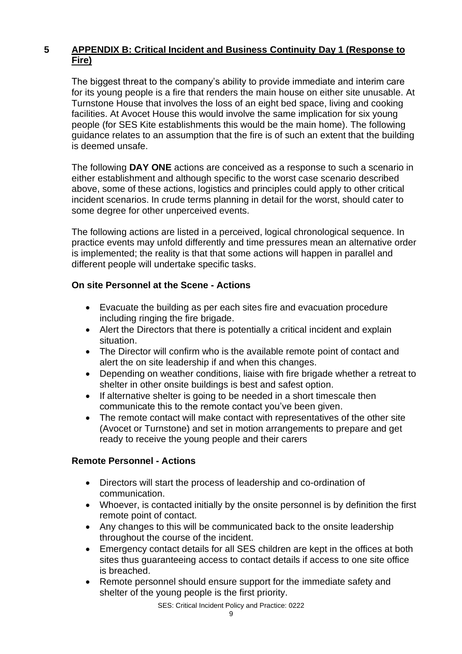# **5 APPENDIX B: Critical Incident and Business Continuity Day 1 (Response to Fire)**

The biggest threat to the company's ability to provide immediate and interim care for its young people is a fire that renders the main house on either site unusable. At Turnstone House that involves the loss of an eight bed space, living and cooking facilities. At Avocet House this would involve the same implication for six young people (for SES Kite establishments this would be the main home). The following guidance relates to an assumption that the fire is of such an extent that the building is deemed unsafe.

The following **DAY ONE** actions are conceived as a response to such a scenario in either establishment and although specific to the worst case scenario described above, some of these actions, logistics and principles could apply to other critical incident scenarios. In crude terms planning in detail for the worst, should cater to some degree for other unperceived events.

The following actions are listed in a perceived, logical chronological sequence. In practice events may unfold differently and time pressures mean an alternative order is implemented; the reality is that that some actions will happen in parallel and different people will undertake specific tasks.

## **On site Personnel at the Scene - Actions**

- Evacuate the building as per each sites fire and evacuation procedure including ringing the fire brigade.
- Alert the Directors that there is potentially a critical incident and explain situation.
- The Director will confirm who is the available remote point of contact and alert the on site leadership if and when this changes.
- Depending on weather conditions, liaise with fire brigade whether a retreat to shelter in other onsite buildings is best and safest option.
- If alternative shelter is going to be needed in a short timescale then communicate this to the remote contact you've been given.
- The remote contact will make contact with representatives of the other site (Avocet or Turnstone) and set in motion arrangements to prepare and get ready to receive the young people and their carers

## **Remote Personnel - Actions**

- Directors will start the process of leadership and co-ordination of communication.
- Whoever, is contacted initially by the onsite personnel is by definition the first remote point of contact.
- Any changes to this will be communicated back to the onsite leadership throughout the course of the incident.
- Emergency contact details for all SES children are kept in the offices at both sites thus guaranteeing access to contact details if access to one site office is breached.
- Remote personnel should ensure support for the immediate safety and shelter of the young people is the first priority.